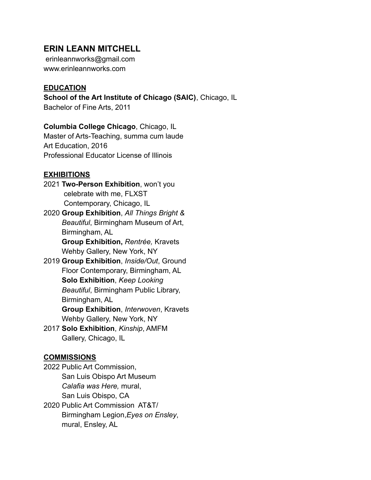# **ERIN LEANN MITCHELL**

erinleannworks@gmail.com www.erinleannworks.com

# **EDUCATION**

**School of the Art Institute of Chicago (SAIC)**, Chicago, IL

Bachelor of Fine Arts, 2011

**Columbia College Chicago**, Chicago, IL Master of Arts-Teaching, summa cum laude

Art Education, 2016 Professional Educator License of Illinois

# **EXHIBITIONS**

- 2021 **Two-Person Exhibition**, won't you celebrate with me, FLXST Contemporary, Chicago, IL
- 2020 **Group Exhibition**, *All Things Bright & Beautiful*, Birmingham Museum of Art, Birmingham, AL **Group Exhibition,** *Rentrée,* Kravets

Wehby Gallery, New York, NY

2019 **Group Exhibition**, *Inside/Out*, Ground Floor Contemporary, Birmingham, AL **Solo Exhibition**, *Keep Looking Beautiful*, Birmingham Public Library, Birmingham, AL

**Group Exhibition**, *Interwoven*, Kravets Wehby Gallery, New York, NY

2017 **Solo Exhibition**, *Kinship*, AMFM Gallery, Chicago, IL

# **COMMISSIONS**

2022 Public Art Commission, San Luis Obispo Art Museum *Calafia was Here,* mural, San Luis Obispo, CA 2020 Public Art Commission AT&T/

Birmingham Legion,*Eyes on Ensley*, mural, Ensley, AL